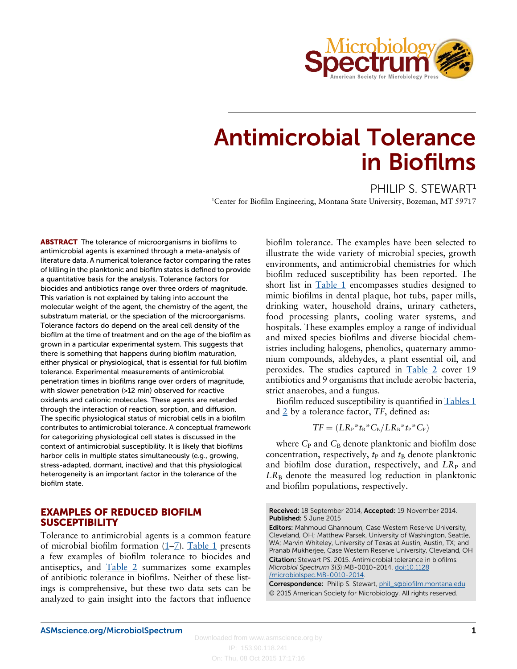

# Antimicrobial Tolerance in Biofilms

PHILIP S. STEWART<sup>1</sup>

<sup>1</sup>Center for Biofilm Engineering, Montana State University, Bozeman, MT 59717

**ABSTRACT** The tolerance of microorganisms in biofilms to antimicrobial agents is examined through a meta-analysis of literature data. A numerical tolerance factor comparing the rates of killing in the planktonic and biofilm states is defined to provide a quantitative basis for the analysis. Tolerance factors for biocides and antibiotics range over three orders of magnitude. This variation is not explained by taking into account the molecular weight of the agent, the chemistry of the agent, the substratum material, or the speciation of the microorganisms. Tolerance factors do depend on the areal cell density of the biofilm at the time of treatment and on the age of the biofilm as grown in a particular experimental system. This suggests that there is something that happens during biofilm maturation, either physical or physiological, that is essential for full biofilm tolerance. Experimental measurements of antimicrobial penetration times in biofilms range over orders of magnitude, with slower penetration (>12 min) observed for reactive oxidants and cationic molecules. These agents are retarded through the interaction of reaction, sorption, and diffusion. The specific physiological status of microbial cells in a biofilm contributes to antimicrobial tolerance. A conceptual framework for categorizing physiological cell states is discussed in the context of antimicrobial susceptibility. It is likely that biofilms harbor cells in multiple states simultaneously (e.g., growing, stress-adapted, dormant, inactive) and that this physiological heterogeneity is an important factor in the tolerance of the biofilm state.

## EXAMPLES OF REDUCED BIOFILM **SUSCEPTIBILITY**

Tolerance to antimicrobial agents is a common feature of microbial biofilm formation [\(1](#page-10-0)–[7\)](#page-10-0). [Table 1](#page-1-0) presents a few examples of biofilm tolerance to biocides and antiseptics, and [Table 2](#page-2-0) summarizes some examples of antibiotic tolerance in biofilms. Neither of these listings is comprehensive, but these two data sets can be analyzed to gain insight into the factors that influence biofilm tolerance. The examples have been selected to illustrate the wide variety of microbial species, growth environments, and antimicrobial chemistries for which biofilm reduced susceptibility has been reported. The short list in [Table 1](#page-1-0) encompasses studies designed to mimic biofilms in dental plaque, hot tubs, paper mills, drinking water, household drains, urinary catheters, food processing plants, cooling water systems, and hospitals. These examples employ a range of individual and mixed species biofilms and diverse biocidal chemistries including halogens, phenolics, quaternary ammonium compounds, aldehydes, a plant essential oil, and peroxides. The studies captured in [Table 2](#page-2-0) cover 19 antibiotics and 9 organisms that include aerobic bacteria, strict anaerobes, and a fungus.

Biofilm reduced susceptibility is quantified in [Tables 1](#page-1-0) and  $2$  by a tolerance factor,  $TF$ , defined as:

$$
TF=(LR_P* t_B* C_B/LR_B* t_P* C_P)
$$

where  $C_{P}$  and  $C_{B}$  denote planktonic and biofilm dose concentration, respectively,  $t_{\rm P}$  and  $t_{\rm B}$  denote planktonic and biofilm dose duration, respectively, and  $LR_{P}$  and  $LR_B$  denote the measured log reduction in planktonic and biofilm populations, respectively.

Received: 18 September 2014, Accepted: 19 November 2014. Published: 5 June 2015

Editors: Mahmoud Ghannoum, Case Western Reserve University, Cleveland, OH; Matthew Parsek, University of Washington, Seattle, WA; Marvin Whiteley, University of Texas at Austin, Austin, TX; and Pranab Mukherjee, Case Western Reserve University, Cleveland, OH Citation: Stewart PS. 2015. Antimicrobial tolerance in biofilms. Microbiol Spectrum 3(3):MB-0010-2014. [doi:10.1128](http://dx.doi.org/10.1128/microbiolspec.MB-0010-2014) [/microbiolspec.MB-0010-2014.](http://dx.doi.org/10.1128/microbiolspec.MB-0010-2014)

Correspondence: Philip S. Stewart, [phil\\_s@biofilm.montana.edu](mailto:phil_s@biofilm.montana.edu) © 2015 American Society for Microbiology. All rights reserved.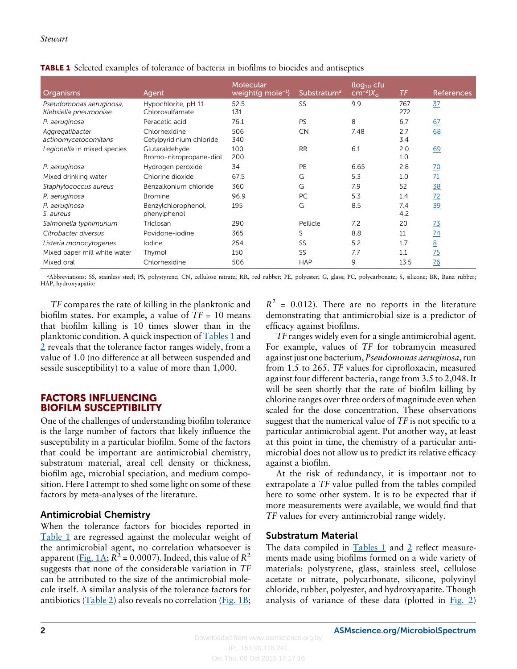| Organisms                                        | Agent                                     | Molecular<br>weight(g mole <sup>-1</sup> ) | Substratum <sup>a</sup> | (log <sub>10</sub> cfu<br>$cm^{-2}$ ) $X_{\rm o}$ | TF         | <b>References</b> |
|--------------------------------------------------|-------------------------------------------|--------------------------------------------|-------------------------|---------------------------------------------------|------------|-------------------|
| Pseudomonas aeruginosa,<br>Klebsiella pneumoniae | Hypochlorite, pH 11<br>Chlorosulfamate    | 52.5<br>131                                | <b>SS</b>               | 9.9                                               | 767<br>272 | 37                |
| P. aeruginosa                                    | Peracetic acid                            | 76.1                                       | PS                      | 8                                                 | 6.7        | 67                |
| Aggregatibacter<br>actinomycetocomitans          | Chlorhexidine<br>Cetylpyridinium chloride | 506<br>340                                 | <b>CN</b>               | 7.48                                              | 2.7<br>3.4 | 68                |
| Legionella in mixed species                      | Glutaraldehyde<br>Bromo-nitropropane-diol | 100<br>200                                 | <b>RR</b>               | 6.1                                               | 2.0<br>1.0 | 69                |
| P. aeruginosa                                    | Hydrogen peroxide                         | 34                                         | PE                      | 6.65                                              | 2.8        | <u>70</u>         |
| Mixed drinking water                             | Chlorine dioxide                          | 67.5                                       | G                       | 5.3                                               | 1.0        | 71                |
| Staphylococcus aureus                            | Benzalkonium chloride                     | 360                                        | G                       | 7.9                                               | 52         | <u>38</u>         |
| P. aeruginosa                                    | <b>Bromine</b>                            | 96.9                                       | PC                      | 5.3                                               | 1.4        | 72                |
| P. aeruginosa<br>S. aureus                       | Benzylchlorophenol,<br>phenylphenol       | 195                                        | G                       | 8.5                                               | 7.4<br>4.2 | 39                |
| Salmonella typhimurium                           | Triclosan                                 | 290                                        | Pellicle                | 7.2                                               | 20         | <u>73</u>         |
| Citrobacter diversus                             | Povidone-iodine                           | 365                                        | S                       | 8.8                                               | 11         | 74                |
| Listeria monocytogenes                           | lodine                                    | 254                                        | SS                      | 5.2                                               | 1.7        | 8                 |
| Mixed paper mill white water                     | Thymol                                    | 150                                        | SS                      | 7.7                                               | 1.1        | 75                |
| Mixed oral                                       | Chlorhexidine                             | 506                                        | <b>HAP</b>              | 9                                                 | 13.5       | 76                |

<span id="page-1-0"></span>TABLE 1 Selected examples of tolerance of bacteria in biofilms to biocides and antiseptics

<sup>a</sup>Abbreviations: SS, stainless steel; PS, polystyrene; CN, cellulose nitrate; RR, red rubber; PE, polyester; G, glass; PC, polycarbonate; S, silicone; BR, Buna rubber; HAP, hydroxyapatite

TF compares the rate of killing in the planktonic and biofilm states. For example, a value of  $TF = 10$  means that biofilm killing is 10 times slower than in the planktonic condition. A quick inspection of Tables 1 and [2](#page-2-0) reveals that the tolerance factor ranges widely, from a value of 1.0 (no difference at all between suspended and sessile susceptibility) to a value of more than 1,000.

## FACTORS INFLUENCING BIOFILM SUSCEPTIBILITY

One of the challenges of understanding biofilm tolerance is the large number of factors that likely influence the susceptibility in a particular biofilm. Some of the factors that could be important are antimicrobial chemistry, substratum material, areal cell density or thickness, biofilm age, microbial speciation, and medium composition. Here I attempt to shed some light on some of these factors by meta-analyses of the literature.

# Antimicrobial Chemistry

When the tolerance factors for biocides reported in Table 1 are regressed against the molecular weight of the antimicrobial agent, no correlation whatsoever is apparent ([Fig. 1A](#page-3-0);  $R^2$  = 0.0007). Indeed, this value of  $R^2$ suggests that none of the considerable variation in TF can be attributed to the size of the antimicrobial molecule itself. A similar analysis of the tolerance factors for antibiotics ( $Table 2$ ) also reveals no correlation ( $Fig. 1B$ ;  $R^2$  = 0.012). There are no reports in the literature demonstrating that antimicrobial size is a predictor of efficacy against biofilms.

TF ranges widely even for a single antimicrobial agent. For example, values of TF for tobramycin measured against just one bacterium, Pseudomonas aeruginosa, run from 1.5 to 265. TF values for ciprofloxacin, measured against four different bacteria, range from 3.5 to 2,048. It will be seen shortly that the rate of biofilm killing by chlorine ranges over three orders of magnitude even when scaled for the dose concentration. These observations suggest that the numerical value of TF is not specific to a particular antimicrobial agent. Put another way, at least at this point in time, the chemistry of a particular antimicrobial does not allow us to predict its relative efficacy against a biofilm.

At the risk of redundancy, it is important not to extrapolate a TF value pulled from the tables compiled here to some other system. It is to be expected that if more measurements were available, we would find that TF values for every antimicrobial range widely.

## Substratum Material

The data compiled in  $Tables 1$  and [2](#page-2-0) reflect measurements made using biofilms formed on a wide variety of materials: polystyrene, glass, stainless steel, cellulose acetate or nitrate, polycarbonate, silicone, polyvinyl chloride, rubber, polyester, and hydroxyapatite. Though analysis of variance of these data (plotted in  $Fig. 2$ )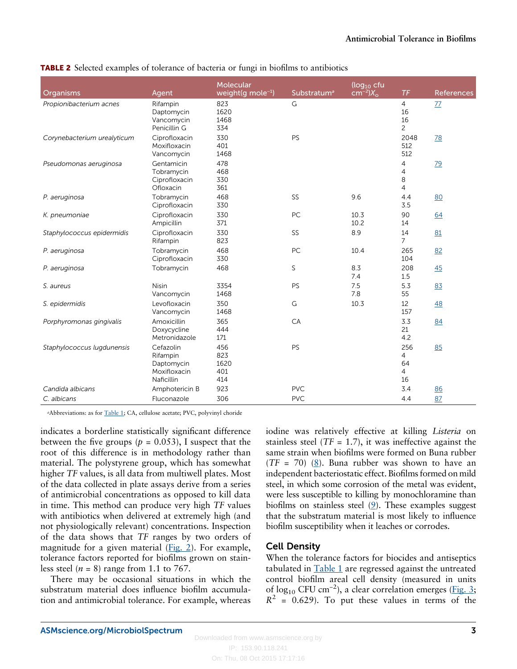| Organisms                   | Agent                                                             | Molecular<br>weight(g mole <sup>-1</sup> ) | Substratum <sup>ª</sup> | $(log_{10}$ cfu<br>$cm^{-2}$ ) $X_{\rm o}$ | TF                                           | <b>References</b> |
|-----------------------------|-------------------------------------------------------------------|--------------------------------------------|-------------------------|--------------------------------------------|----------------------------------------------|-------------------|
| Propionibacterium acnes     | Rifampin<br>Daptomycin<br>Vancomycin<br>Penicillin G              | 823<br>1620<br>1468<br>334                 | G                       |                                            | $\overline{4}$<br>16<br>16<br>$\overline{c}$ | <u>77</u>         |
| Corynebacterium urealyticum | Ciprofloxacin<br>Moxifloxacin<br>Vancomycin                       | 330<br>401<br>1468                         | PS                      |                                            | 2048<br>512<br>512                           | 78                |
| Pseudomonas aeruginosa      | Gentamicin<br>Tobramycin<br>Ciprofloxacin<br>Ofloxacin            | 478<br>468<br>330<br>361                   |                         |                                            | 4<br>$\overline{4}$<br>8<br>$\overline{4}$   | 79                |
| P. aeruginosa               | Tobramycin<br>Ciprofloxacin                                       | 468<br>330                                 | <b>SS</b>               | 9.6                                        | 4.4<br>3.5                                   | 80                |
| K. pneumoniae               | Ciprofloxacin<br>Ampicillin                                       | 330<br>371                                 | PC                      | 10.3<br>10.2                               | 90<br>14                                     | 64                |
| Staphylococcus epidermidis  | Ciprofloxacin<br>Rifampin                                         | 330<br>823                                 | SS                      | 8.9                                        | 14<br>$\overline{7}$                         | 81                |
| P. aeruginosa               | Tobramycin<br>Ciprofloxacin                                       | 468<br>330                                 | PC                      | 10.4                                       | 265<br>104                                   | 82                |
| P. aeruginosa               | Tobramycin                                                        | 468                                        | S                       | 8.3<br>7.4                                 | 208<br>1.5                                   | 45                |
| S. aureus                   | <b>Nisin</b><br>Vancomycin                                        | 3354<br>1468                               | PS                      | 7.5<br>7.8                                 | 5.3<br>55                                    | 83                |
| S. epidermidis              | Levofloxacin<br>Vancomycin                                        | 350<br>1468                                | G                       | 10.3                                       | 12<br>157                                    | 48                |
| Porphyromonas gingivalis    | Amoxicillin<br>Doxycycline<br>Metronidazole                       | 365<br>444<br>171                          | CA                      |                                            | 3.3<br>21<br>4.2                             | 84                |
| Staphylococcus lugdunensis  | Cefazolin<br>Rifampin<br>Daptomycin<br>Moxifloxacin<br>Naficillin | 456<br>823<br>1620<br>401<br>414           | PS                      |                                            | 256<br>$\overline{4}$<br>64<br>4<br>16       | 85                |
| Candida albicans            | Amphotericin B                                                    | 923                                        | <b>PVC</b>              |                                            | 3.4                                          | 86                |
| C. albicans                 | Fluconazole                                                       | 306                                        | <b>PVC</b>              |                                            | 4.4                                          | 87                |

<span id="page-2-0"></span>TABLE 2 Selected examples of tolerance of bacteria or fungi in biofilms to antibiotics

<sup>a</sup>Abbreviations: as for [Table 1;](#page-1-0) CA, cellulose acetate; PVC, polyvinyl choride

indicates a borderline statistically significant difference between the five groups ( $p = 0.053$ ), I suspect that the root of this difference is in methodology rather than material. The polystyrene group, which has somewhat higher TF values, is all data from multiwell plates. Most of the data collected in plate assays derive from a series of antimicrobial concentrations as opposed to kill data in time. This method can produce very high TF values with antibiotics when delivered at extremely high (and not physiologically relevant) concentrations. Inspection of the data shows that TF ranges by two orders of magnitude for a given material  $(Fig. 2)$  $(Fig. 2)$ . For example, tolerance factors reported for biofilms grown on stainless steel ( $n = 8$ ) range from 1.1 to 767.

There may be occasional situations in which the substratum material does influence biofilm accumulation and antimicrobial tolerance. For example, whereas iodine was relatively effective at killing Listeria on stainless steel ( $TF = 1.7$ ), it was ineffective against the same strain when biofilms were formed on Buna rubber  $(TF = 70)$  ([8\)](#page-10-0). Buna rubber was shown to have an independent bacteriostatic effect. Biofilms formed on mild steel, in which some corrosion of the metal was evident, were less susceptible to killing by monochloramine than biofilms on stainless steel  $(2)$ . These examples suggest that the substratum material is most likely to influence biofilm susceptibility when it leaches or corrodes.

# Cell Density

When the tolerance factors for biocides and antiseptics tabulated in  $Table 1$  are regressed against the untreated control biofilm areal cell density (measured in units of  $log_{10}$  CFU cm<sup>-2</sup>), a clear correlation emerges ([Fig. 3](#page-3-0);  $R^2$  = 0.629). To put these values in terms of the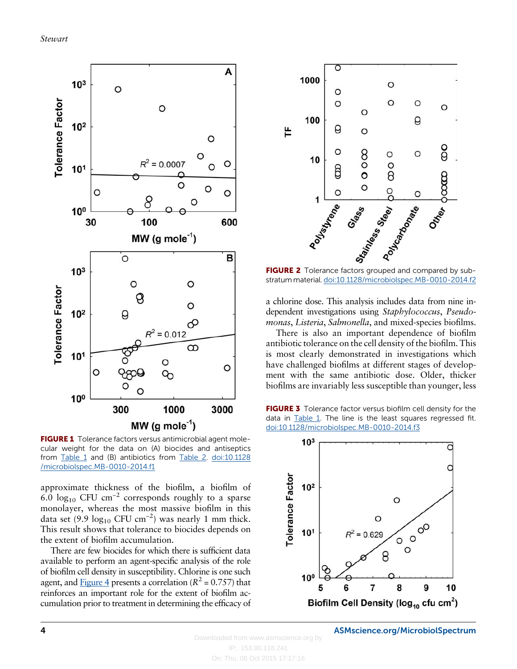<span id="page-3-0"></span>

FIGURE 1 Tolerance factors versus antimicrobial agent molecular weight for the data on (A) biocides and antiseptics from [Table 1](#page-1-0) and (B) antibiotics from [Table 2](#page-2-0). [doi:10.1128](http://dx.doi.org/10.1128/microbiolspec.MB-0010-2014.f1) [/microbiolspec.MB-0010-2014.f1](http://dx.doi.org/10.1128/microbiolspec.MB-0010-2014.f1)

approximate thickness of the biofilm, a biofilm of 6.0 log<sub>10</sub> CFU cm<sup>-2</sup> corresponds roughly to a sparse monolayer, whereas the most massive biofilm in this data set (9.9  $log_{10}$  CFU cm<sup>-2</sup>) was nearly 1 mm thick. This result shows that tolerance to biocides depends on the extent of biofilm accumulation.

There are few biocides for which there is sufficient data available to perform an agent-specific analysis of the role of biofilm cell density in susceptibility. Chlorine is one such agent, and [Figure 4](#page-4-0) presents a correlation ( $R^2$  = 0.757) that reinforces an important role for the extent of biofilm accumulation prior to treatment in determining the efficacy of



FIGURE 2 Tolerance factors grouped and compared by substratum material. [doi:10.1128/microbiolspec.MB-0010-2014.f2](http://dx.doi.org/10.1128/microbiolspec.MB-0010-2014.f2)

a chlorine dose. This analysis includes data from nine independent investigations using Staphylococcus, Pseudomonas, Listeria, Salmonella, and mixed-species biofilms.

There is also an important dependence of biofilm antibiotic tolerance on the cell density of the biofilm. This is most clearly demonstrated in investigations which have challenged biofilms at different stages of development with the same antibiotic dose. Older, thicker biofilms are invariably less susceptible than younger, less



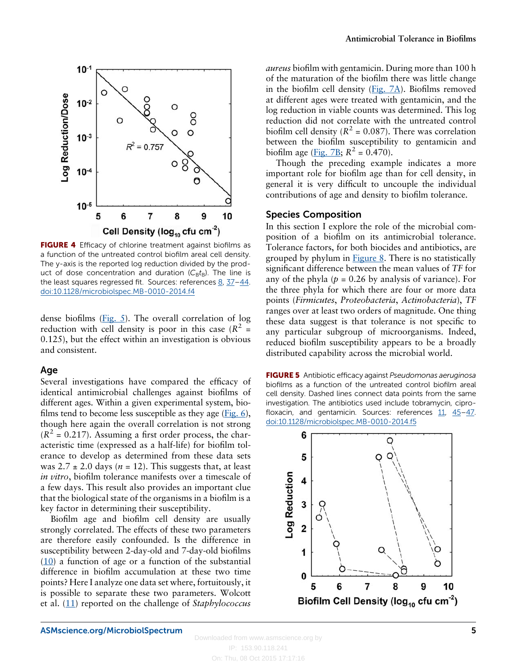<span id="page-4-0"></span>

FIGURE 4 Efficacy of chlorine treatment against biofilms as a function of the untreated control biofilm areal cell density. The y-axis is the reported log reduction divided by the product of dose concentration and duration  $(C_B t_B)$ . The line is the least squares regressed fit. Sources: references  $8, 37-44$  $8, 37-44$  $8, 37-44$  $8, 37-44$ . [doi:10.1128/microbiolspec.MB-0010-2014.f4](http://dx.doi.org/10.1128/microbiolspec.MB-0010-2014.f4)

dense biofilms (Fig. 5). The overall correlation of log reduction with cell density is poor in this case  $(R^2 =$ 0.125), but the effect within an investigation is obvious and consistent.

#### Age

Several investigations have compared the efficacy of identical antimicrobial challenges against biofilms of different ages. Within a given experimental system, biofilms tend to become less susceptible as they age  $(Fig, 6)$ , though here again the overall correlation is not strong  $(R^{2} = 0.217)$ . Assuming a first order process, the characteristic time (expressed as a half-life) for biofilm tolerance to develop as determined from these data sets was  $2.7 \pm 2.0$  days ( $n = 12$ ). This suggests that, at least in vitro, biofilm tolerance manifests over a timescale of a few days. This result also provides an important clue that the biological state of the organisms in a biofilm is a key factor in determining their susceptibility.

Biofilm age and biofilm cell density are usually strongly correlated. The effects of these two parameters are therefore easily confounded. Is the difference in susceptibility between 2-day-old and 7-day-old biofilms  $(10)$  a function of age or a function of the substantial difference in biofilm accumulation at these two time points? Here I analyze one data set where, fortuitously, it is possible to separate these two parameters. Wolcott et al.  $(11)$  $(11)$  $(11)$  reported on the challenge of *Staphylococcus*  aureus biofilm with gentamicin. During more than 100 h of the maturation of the biofilm there was little change in the biofilm cell density  $(Fig, 7A)$ . Biofilms removed at different ages were treated with gentamicin, and the log reduction in viable counts was determined. This log reduction did not correlate with the untreated control biofilm cell density ( $R^2$  = 0.087). There was correlation between the biofilm susceptibility to gentamicin and biofilm age [\(Fig. 7B](#page-5-0);  $R^2 = 0.470$ ).

Though the preceding example indicates a more important role for biofilm age than for cell density, in general it is very difficult to uncouple the individual contributions of age and density to biofilm tolerance.

#### Species Composition

In this section I explore the role of the microbial composition of a biofilm on its antimicrobial tolerance. Tolerance factors, for both biocides and antibiotics, are grouped by phylum in [Figure 8.](#page-6-0) There is no statistically significant difference between the mean values of TF for any of the phyla ( $p = 0.26$  by analysis of variance). For the three phyla for which there are four or more data points (Firmicutes, Proteobacteria, Actinobacteria), TF ranges over at least two orders of magnitude. One thing these data suggest is that tolerance is not specific to any particular subgroup of microorganisms. Indeed, reduced biofilm susceptibility appears to be a broadly distributed capability across the microbial world.

FIGURE 5 Antibiotic efficacy against Pseudomonas aeruginosa biofilms as a function of the untreated control biofilm areal cell density. Dashed lines connect data points from the same investigation. The antibiotics used include tobramycin, ciprofloxacin, and gentamicin. Sources: references [11](#page-10-0), [45](#page-11-0)–[47.](#page-11-0) [doi:10.1128/microbiolspec.MB-0010-2014.f5](http://dx.doi.org/10.1128/microbiolspec.MB-0010-2014.f5)

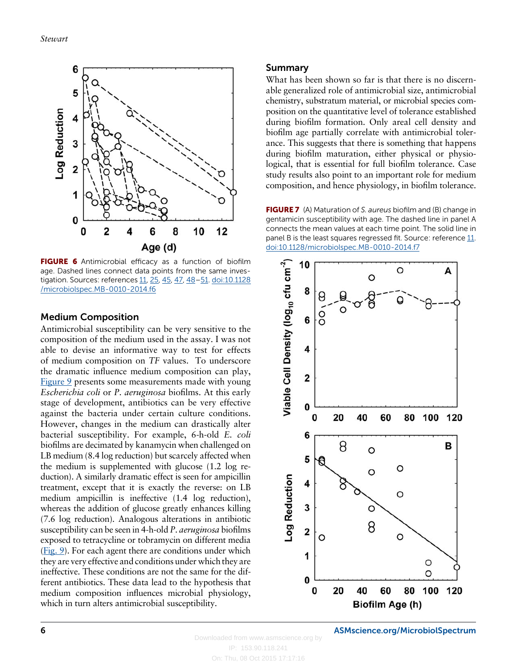<span id="page-5-0"></span>

FIGURE 6 Antimicrobial efficacy as a function of biofilm age. Dashed lines connect data points from the same inves-tigation. Sources: references [11](#page-10-0), [25,](#page-10-0) [45](#page-11-0), [47,](#page-11-0) [48](#page-11-0)-[51.](#page-11-0) [doi:10.1128](http://dx.doi.org/10.1128/microbiolspec.MB-0010-2014.f6) [/microbiolspec.MB-0010-2014.f6](http://dx.doi.org/10.1128/microbiolspec.MB-0010-2014.f6)

## Medium Composition

Antimicrobial susceptibility can be very sensitive to the composition of the medium used in the assay. I was not able to devise an informative way to test for effects of medium composition on TF values. To underscore the dramatic influence medium composition can play, [Figure 9](#page-6-0) presents some measurements made with young Escherichia coli or P. aeruginosa biofilms. At this early stage of development, antibiotics can be very effective against the bacteria under certain culture conditions. However, changes in the medium can drastically alter bacterial susceptibility. For example, 6-h-old E. coli biofilms are decimated by kanamycin when challenged on LB medium (8.4 log reduction) but scarcely affected when the medium is supplemented with glucose (1.2 log reduction). A similarly dramatic effect is seen for ampicillin treatment, except that it is exactly the reverse: on LB medium ampicillin is ineffective (1.4 log reduction), whereas the addition of glucose greatly enhances killing (7.6 log reduction). Analogous alterations in antibiotic susceptibility can be seen in 4-h-old P. aeruginosa biofilms exposed to tetracycline or tobramycin on different media [\(Fig. 9](#page-6-0)). For each agent there are conditions under which they are very effective and conditions under which they are ineffective. These conditions are not the same for the different antibiotics. These data lead to the hypothesis that medium composition influences microbial physiology, which in turn alters antimicrobial susceptibility.

### Summary

What has been shown so far is that there is no discernable generalized role of antimicrobial size, antimicrobial chemistry, substratum material, or microbial species composition on the quantitative level of tolerance established during biofilm formation. Only areal cell density and biofilm age partially correlate with antimicrobial tolerance. This suggests that there is something that happens during biofilm maturation, either physical or physiological, that is essential for full biofilm tolerance. Case study results also point to an important role for medium composition, and hence physiology, in biofilm tolerance.

FIGURE 7 (A) Maturation of S. aureus biofilm and (B) change in gentamicin susceptibility with age. The dashed line in panel A connects the mean values at each time point. The solid line in panel B is the least squares regressed fit. Source: reference [11.](#page-10-0) [doi:10.1128/microbiolspec.MB-0010-2014.f7](http://dx.doi.org/10.1128/microbiolspec.MB-0010-2014.f7)



6 [ASMscience.org/MicrobiolSpectrum](http://www.ASMscience.org/MicrobiolSpectrum)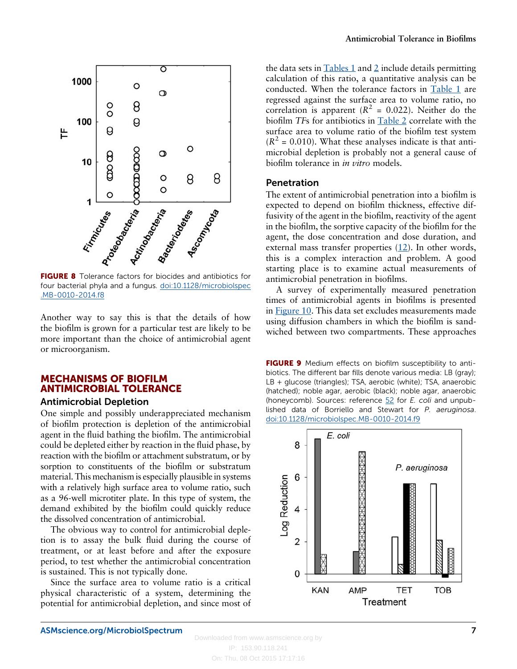<span id="page-6-0"></span>

FIGURE 8 Tolerance factors for biocides and antibiotics for four bacterial phyla and a fungus. [doi:10.1128/microbiolspec](http://dx.doi.org/10.1128/microbiolspec.MB-0010-2014.f8) [.MB-0010-2014.f8](http://dx.doi.org/10.1128/microbiolspec.MB-0010-2014.f8)

the biofilm is grown for a particular test are likely to be more important than the choice of antimicrobial agent or microorganism.

# MECHANISMS OF BIOFILM ANTIMICROBIAL TOLERANCE

## Antimicrobial Depletion

One simple and possibly underappreciated mechanism of biofilm protection is depletion of the antimicrobial agent in the fluid bathing the biofilm. The antimicrobial could be depleted either by reaction in the fluid phase, by reaction with the biofilm or attachment substratum, or by sorption to constituents of the biofilm or substratum material. This mechanism is especially plausible in systems with a relatively high surface area to volume ratio, such as a 96-well microtiter plate. In this type of system, the demand exhibited by the biofilm could quickly reduce the dissolved concentration of antimicrobial.

The obvious way to control for antimicrobial depletion is to assay the bulk fluid during the course of treatment, or at least before and after the exposure period, to test whether the antimicrobial concentration is sustained. This is not typically done.

Since the surface area to volume ratio is a critical physical characteristic of a system, determining the potential for antimicrobial depletion, and since most of the data sets in  $Tables 1$  and [2](#page-2-0) include details permitting calculation of this ratio, a quantitative analysis can be conducted. When the tolerance factors in [Table 1](#page-1-0) are regressed against the surface area to volume ratio, no correlation is apparent ( $R^2 = 0.022$ ). Neither do the biofilm TFs for antibiotics in [Table 2](#page-2-0) correlate with the surface area to volume ratio of the biofilm test system  $(R^{2} = 0.010)$ . What these analyses indicate is that antimicrobial depletion is probably not a general cause of biofilm tolerance in in vitro models.

#### Penetration

The extent of antimicrobial penetration into a biofilm is expected to depend on biofilm thickness, effective diffusivity of the agent in the biofilm, reactivity of the agent in the biofilm, the sorptive capacity of the biofilm for the agent, the dose concentration and dose duration, and external mass transfer properties [\(12\)](#page-10-0). In other words, this is a complex interaction and problem. A good starting place is to examine actual measurements of antimicrobial penetration in biofilms.

A survey of experimentally measured penetration times of antimicrobial agents in biofilms is presented in [Figure 10.](#page-7-0) This data set excludes measurements made using diffusion chambers in which the biofilm is sandwiched between two compartments. These approaches

FIGURE 9 Medium effects on biofilm susceptibility to antibiotics. The different bar fills denote various media: LB (gray); LB + glucose (triangles); TSA, aerobic (white); TSA, anaerobic (hatched); noble agar, aerobic (black); noble agar, anaerobic (honeycomb). Sources: reference  $52$  for E. coli and unpublished data of Borriello and Stewart for P. aeruginosa. [doi:10.1128/microbiolspec.MB-0010-2014.f9](http://dx.doi.org/10.1128/microbiolspec.MB-0010-2014.f9)

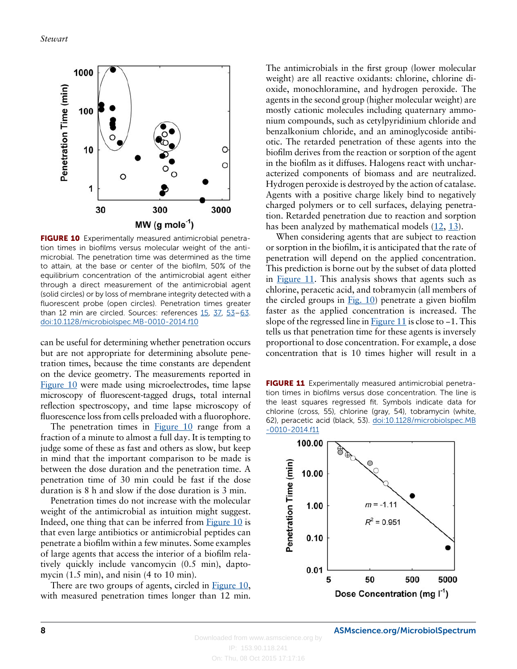<span id="page-7-0"></span>

FIGURE 10 Experimentally measured antimicrobial penetration times in biofilms versus molecular weight of the antimicrobial. The penetration time was determined as the time to attain, at the base or center of the biofilm, 50% of the equilibrium concentration of the antimicrobial agent either through a direct measurement of the antimicrobial agent (solid circles) or by loss of membrane integrity detected with a fluorescent probe (open circles). Penetration times greater than 12 min are circled. Sources: references [15,](#page-10-0) [37](#page-11-0), [53](#page-11-0)–[63.](#page-11-0) [doi:10.1128/microbiolspec.MB-0010-2014.f10](http://dx.doi.org/10.1128/microbiolspec.MB-0010-2014.f10)

can be useful for determining whether penetration occurs but are not appropriate for determining absolute penetration times, because the time constants are dependent on the device geometry. The measurements reported in Figure 10 were made using microelectrodes, time lapse microscopy of fluorescent-tagged drugs, total internal reflection spectroscopy, and time lapse microscopy of fluorescence loss from cells preloaded with a fluorophore.

The penetration times in  $Figure 10$  range from a fraction of a minute to almost a full day. It is tempting to judge some of these as fast and others as slow, but keep in mind that the important comparison to be made is between the dose duration and the penetration time. A penetration time of 30 min could be fast if the dose duration is 8 h and slow if the dose duration is 3 min.

Penetration times do not increase with the molecular weight of the antimicrobial as intuition might suggest. Indeed, one thing that can be inferred from Figure 10 is that even large antibiotics or antimicrobial peptides can penetrate a biofilm within a few minutes. Some examples of large agents that access the interior of a biofilm relatively quickly include vancomycin (0.5 min), daptomycin  $(1.5 \text{ min})$ , and nisin  $(4 \text{ to } 10 \text{ min})$ .

There are two groups of agents, circled in **Figure 10**, with measured penetration times longer than 12 min. The antimicrobials in the first group (lower molecular weight) are all reactive oxidants: chlorine, chlorine dioxide, monochloramine, and hydrogen peroxide. The agents in the second group (higher molecular weight) are mostly cationic molecules including quaternary ammonium compounds, such as cetylpyridinium chloride and benzalkonium chloride, and an aminoglycoside antibiotic. The retarded penetration of these agents into the biofilm derives from the reaction or sorption of the agent in the biofilm as it diffuses. Halogens react with uncharacterized components of biomass and are neutralized. Hydrogen peroxide is destroyed by the action of catalase. Agents with a positive charge likely bind to negatively charged polymers or to cell surfaces, delaying penetration. Retarded penetration due to reaction and sorption has been analyzed by mathematical models [\(12](#page-10-0), [13\)](#page-10-0).

When considering agents that are subject to reaction or sorption in the biofilm, it is anticipated that the rate of penetration will depend on the applied concentration. This prediction is borne out by the subset of data plotted in Figure 11. This analysis shows that agents such as chlorine, peracetic acid, and tobramycin (all members of the circled groups in Fig.  $10$ ) penetrate a given biofilm faster as the applied concentration is increased. The slope of the regressed line in Figure 11 is close to –1. This tells us that penetration time for these agents is inversely proportional to dose concentration. For example, a dose concentration that is 10 times higher will result in a

FIGURE 11 Experimentally measured antimicrobial penetration times in biofilms versus dose concentration. The line is the least squares regressed fit. Symbols indicate data for chlorine (cross, 55), chlorine (gray, 54), tobramycin (white, 62), peracetic acid (black, 53). [doi:10.1128/microbiolspec.MB](http://dx.doi.org/10.1128/microbiolspec.MB-0010-2014.f11) [-0010-2014.f11](http://dx.doi.org/10.1128/microbiolspec.MB-0010-2014.f11)

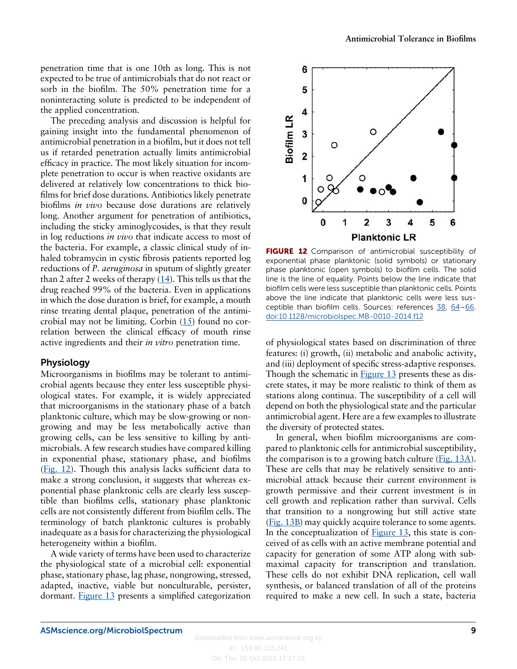penetration time that is one 10th as long. This is not expected to be true of antimicrobials that do not react or sorb in the biofilm. The 50% penetration time for a noninteracting solute is predicted to be independent of the applied concentration.

The preceding analysis and discussion is helpful for gaining insight into the fundamental phenomenon of antimicrobial penetration in a biofilm, but it does not tell us if retarded penetration actually limits antimicrobial efficacy in practice. The most likely situation for incomplete penetration to occur is when reactive oxidants are delivered at relatively low concentrations to thick biofilms for brief dose durations. Antibiotics likely penetrate biofilms in vivo because dose durations are relatively long. Another argument for penetration of antibiotics, including the sticky aminoglycosides, is that they result in log reductions *in vivo* that indicate access to most of the bacteria. For example, a classic clinical study of inhaled tobramycin in cystic fibrosis patients reported log reductions of *P. aeruginosa* in sputum of slightly greater than 2 after 2 weeks of therapy  $(14)$  $(14)$  $(14)$ . This tells us that the drug reached 99% of the bacteria. Even in applications in which the dose duration is brief, for example, a mouth rinse treating dental plaque, penetration of the antimicrobial may not be limiting. Corbin [\(15\)](#page-10-0) found no correlation between the clinical efficacy of mouth rinse active ingredients and their in vitro penetration time.

#### Physiology

Microorganisms in biofilms may be tolerant to antimicrobial agents because they enter less susceptible physiological states. For example, it is widely appreciated that microorganisms in the stationary phase of a batch planktonic culture, which may be slow-growing or nongrowing and may be less metabolically active than growing cells, can be less sensitive to killing by antimicrobials. A few research studies have compared killing in exponential phase, stationary phase, and biofilms (Fig. 12). Though this analysis lacks sufficient data to make a strong conclusion, it suggests that whereas exponential phase planktonic cells are clearly less susceptible than biofilms cells, stationary phase planktonic cells are not consistently different from biofilm cells. The terminology of batch planktonic cultures is probably inadequate as a basis for characterizing the physiological heterogeneity within a biofilm.

A wide variety of terms have been used to characterize the physiological state of a microbial cell: exponential phase, stationary phase, lag phase, nongrowing, stressed, adapted, inactive, viable but nonculturable, persister, dormant. [Figure 13](#page-9-0) presents a simplified categorization



FIGURE 12 Comparison of antimicrobial susceptibility of exponential phase planktonic (solid symbols) or stationary phase planktonic (open symbols) to biofilm cells. The solid line is the line of equality. Points below the line indicate that biofilm cells were less susceptible than planktonic cells. Points above the line indicate that planktonic cells were less susceptible than biofilm cells. Sources: references [38,](#page-11-0) [64](#page-11-0)–[66.](#page-11-0) [doi:10.1128/microbiolspec.MB-0010-2014.f12](http://dx.doi.org/10.1128/microbiolspec.MB-0010-2014.f12)

of physiological states based on discrimination of three features: (i) growth, (ii) metabolic and anabolic activity, and (iii) deployment of specific stress-adaptive responses. Though the schematic in **[Figure 13](#page-9-0)** presents these as discrete states, it may be more realistic to think of them as stations along continua. The susceptibility of a cell will depend on both the physiological state and the particular antimicrobial agent. Here are a few examples to illustrate the diversity of protected states.

In general, when biofilm microorganisms are compared to planktonic cells for antimicrobial susceptibility, the comparison is to a growing batch culture [\(Fig. 13A\)](#page-9-0). These are cells that may be relatively sensitive to antimicrobial attack because their current environment is growth permissive and their current investment is in cell growth and replication rather than survival. Cells that transition to a nongrowing but still active state [\(Fig. 13B](#page-9-0)) may quickly acquire tolerance to some agents. In the conceptualization of [Figure 13,](#page-9-0) this state is conceived of as cells with an active membrane potential and capacity for generation of some ATP along with submaximal capacity for transcription and translation. These cells do not exhibit DNA replication, cell wall synthesis, or balanced translation of all of the proteins required to make a new cell. In such a state, bacteria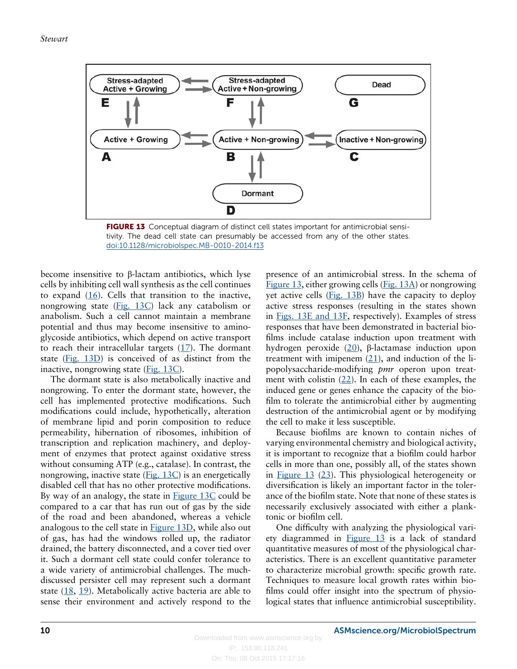<span id="page-9-0"></span>

FIGURE 13 Conceptual diagram of distinct cell states important for antimicrobial sensitivity. The dead cell state can presumably be accessed from any of the other states. [doi:10.1128/microbiolspec.MB-0010-2014.f13](http://dx.doi.org/10.1128/microbiolspec.MB-0010-2014.f13)

become insensitive to β-lactam antibiotics, which lyse cells by inhibiting cell wall synthesis as the cell continues to expand  $(16)$ . Cells that transition to the inactive, nongrowing state (Fig. 13C) lack any catabolism or anabolism. Such a cell cannot maintain a membrane potential and thus may become insensitive to aminoglycoside antibiotics, which depend on active transport to reach their intracellular targets  $(17)$  $(17)$  $(17)$ . The dormant state (Fig. 13D) is conceived of as distinct from the inactive, nongrowing state (Fig. 13C).

The dormant state is also metabolically inactive and nongrowing. To enter the dormant state, however, the cell has implemented protective modifications. Such modifications could include, hypothetically, alteration of membrane lipid and porin composition to reduce permeability, hibernation of ribosomes, inhibition of transcription and replication machinery, and deployment of enzymes that protect against oxidative stress without consuming ATP (e.g., catalase). In contrast, the nongrowing, inactive state (Fig. 13C) is an energetically disabled cell that has no other protective modifications. By way of an analogy, the state in  $Figure 13C$  could be compared to a car that has run out of gas by the side of the road and been abandoned, whereas a vehicle analogous to the cell state in Figure 13D, while also out of gas, has had the windows rolled up, the radiator drained, the battery disconnected, and a cover tied over it. Such a dormant cell state could confer tolerance to a wide variety of antimicrobial challenges. The muchdiscussed persister cell may represent such a dormant state ([18](#page-10-0), [19\)](#page-10-0). Metabolically active bacteria are able to sense their environment and actively respond to the presence of an antimicrobial stress. In the schema of Figure 13, either growing cells (Fig. 13A) or nongrowing yet active cells (Fig. 13B) have the capacity to deploy active stress responses (resulting in the states shown in Figs. 13E and 13F, respectively). Examples of stress responses that have been demonstrated in bacterial biofilms include catalase induction upon treatment with hydrogen peroxide [\(20\)](#page-10-0), β-lactamase induction upon treatment with imipenem  $(21)$ , and induction of the lipopolysaccharide-modifying pmr operon upon treatment with colistin  $(22)$ . In each of these examples, the induced gene or genes enhance the capacity of the biofilm to tolerate the antimicrobial either by augmenting destruction of the antimicrobial agent or by modifying the cell to make it less susceptible.

Because biofilms are known to contain niches of varying environmental chemistry and biological activity, it is important to recognize that a biofilm could harbor cells in more than one, possibly all, of the states shown in Figure 13 [\(23\)](#page-10-0). This physiological heterogeneity or diversification is likely an important factor in the tolerance of the biofilm state. Note that none of these states is necessarily exclusively associated with either a planktonic or biofilm cell.

One difficulty with analyzing the physiological variety diagrammed in  $Figure 13$  is a lack of standard quantitative measures of most of the physiological characteristics. There is an excellent quantitative parameter to characterize microbial growth: specific growth rate. Techniques to measure local growth rates within biofilms could offer insight into the spectrum of physiological states that influence antimicrobial susceptibility.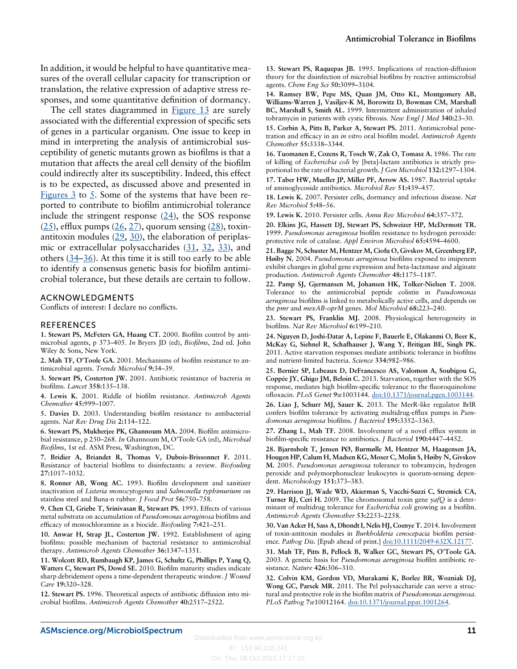<span id="page-10-0"></span>In addition, it would be helpful to have quantitative measures of the overall cellular capacity for transcription or translation, the relative expression of adaptive stress responses, and some quantitative definition of dormancy.

The cell states diagrammed in [Figure 13](#page-9-0) are surely associated with the differential expression of specific sets of genes in a particular organism. One issue to keep in mind in interpreting the analysis of antimicrobial susceptibility of genetic mutants grown as biofilms is that a mutation that affects the areal cell density of the biofilm could indirectly alter its susceptibility. Indeed, this effect is to be expected, as discussed above and presented in Figures  $3$  to  $5$ . Some of the systems that have been reported to contribute to biofilm antimicrobial tolerance include the stringent response  $(24)$ , the SOS response  $(25)$ , efflux pumps  $(26, 27)$ , quorum sensing  $(28)$ , toxinantitoxin modules  $(29, 30)$ , the elaboration of periplas-mic or extracellular polysaccharides (31, 32, [33\)](#page-11-0), and others  $(34-36)$  $(34-36)$  $(34-36)$  $(34-36)$  $(34-36)$ . At this time it is still too early to be able to identify a consensus genetic basis for biofilm antimicrobial tolerance, but these details are certain to follow.

#### ACKNOWLEDGMENTS

Conflicts of interest: I declare no conflicts.

#### REFERENCES

1. Stewart PS, McFeters GA, Huang CT. 2000. Biofilm control by antimicrobial agents, p 373–405. In Bryers JD (ed), Biofilms, 2nd ed. John Wiley & Sons, New York.

2. Mah TF, O'Toole GA. 2001. Mechanisms of biofilm resistance to antimicrobial agents. Trends Microbiol 9:34–39.

3. Stewart PS, Costerton JW. 2001. Antibiotic resistance of bacteria in biofilms. Lancet 358:135–138.

4. Lewis K. 2001. Riddle of biofilm resistance. Antimicrob Agents Chemother 45:999–1007.

5. Davies D. 2003. Understanding biofilm resistance to antibacterial agents. Nat Rev Drug Dis 2:114–122.

6. Stewart PS, Mukherjee PK, Ghannoum MA. 2004. Biofilm antimicrobial resistance, p 250–268. In Ghannoum M, O'Toole GA (ed), Microbial Biofilms, 1st ed. ASM Press, Washington, DC.

7. Bridier A, Briandet R, Thomas V, Dubois-Brissonnet F. 2011. Resistance of bacterial biofilms to disinfectants: a review. Biofouling 27:1017–1032.

8. Ronner AB, Wong AC. 1993. Biofilm development and sanitizer inactivation of Listeria monocytogenes and Salmonella typhimurium on stainless steel and Buna-n rubber. J Food Prot 56:750–758.

9. Chen CI, Griebe T, Srinivasan R, Stewart PS. 1993. Effects of various metal substrata on accumulation of Pseudomonas aeruginosa biofilms and efficacy of monochloramine as a biocide. Biofouling 7:421–251.

10. Anwar H, Strap JL, Costerton JW. 1992. Establishment of aging biofilms: possible mechanism of bacterial resistance to antimicrobial therapy. Antimicrob Agents Chemother 36:1347–1351.

11. Wolcott RD, Rumbaugh KP, James G, Schultz G, Phillips P, Yang Q, Watters C, Stewart PS, Dowd SE. 2010. Biofilm maturity studies indicate sharp debridement opens a time-dependent therapeutic window. J Wound Care 19:320–328.

12. Stewart PS. 1996. Theoretical aspects of antibiotic diffusion into microbial biofilms. Antimicrob Agents Chemother 40:2517–2522.

13. Stewart PS, Raquepas JB. 1995. Implications of reaction-diffusion theory for the disinfection of microbial biofilms by reactive antimicrobial agents. Chem Eng Sci 50:3099–3104.

14. Ramsey BW, Pepe MS, Quan JM, Otto KL, Montgomery AB, Williams-Warren J, Vasiljev-K M, Borowitz D, Bowman CM, Marshall BC, Marshall S, Smith AL. 1999. Intermittent administration of inhaled tobramycin in patients with cystic fibrosis. New Engl J Med 340:23–30.

15. Corbin A, Pitts B, Parker A, Stewart PS. 2011. Antimicrobial penetration and efficacy in an in vitro oral biofilm model. Antimicrob Agents Chemother 55:3338–3344.

16. Tuomanen E, Cozens R, Tosch W, Zak O, Tomasz A. 1986. The rate of killing of Escherichia coli by [beta]-lactam antibiotics is strictly proportional to the rate of bacterial growth. J Gen Microbiol 132:1297–1304. 17. Taber HW, Mueller JP, Miller PF, Arrow AS. 1987. Bacterial uptake of aminoglycoside antibiotics. Microbiol Rev 51:439–457.

18. Lewis K. 2007. Persister cells, dormancy and infectious disease. Nat Rev Microbiol 5:48–56.

19. Lewis K. 2010. Persister cells. Annu Rev Microbiol 64:357–372.

20. Elkins JG, Hassett DJ, Stewart PS, Schweizer HP, McDermott TR. 1999. Pseudomonas aeruginosa biofilm resistance to hydrogen peroxide: protective role of catalase. Appl Environ Microbiol 65:4594–4600.

21. Bagge N, Schuster M, Hentzer M, Ciofu O, Givskov M, Greenberg EP, Høiby N. 2004. Pseudomonas aeruginosa biofilms exposed to imipenem exhibit changes in global gene expression and beta-lactamase and alginate production. Antimicrob Agents Chemother 48:1175–1187.

22. Pamp SJ, Gjermansen M, Johansen HK, Tolker-Nielsen T. 2008. Tolerance to the antimicrobial peptide colistin in Pseudomonas aeruginosa biofilms is linked to metabolically active cells, and depends on the pmr and mexAB-oprM genes. Mol Microbiol 68:223–240.

23. Stewart PS, Franklin MJ. 2008. Physiological heterogeneity in biofilms. Nat Rev Microbiol 6:199–210.

24. Nguyen D, Joshi-Datar A, Lepine F, Bauerle E, Olakanmi O, Beer K, McKay G, Siehnel R, Schafhauser J, Wang Y, Britigan BE, Singh PK. 2011. Active starvation responses mediate antibiotic tolerance in biofilms and nutrient-limited bacteria. Science 334:982–986.

25. Bernier SP, Lebeaux D, DeFrancesco AS, Valomon A, Soubigou G, Coppée JY, Ghigo JM, Beloin C. 2013. Starvation, together with the SOS response, mediates high biofilm-specific tolerance to the fluoroquinolone ofloxacin. PLoS Genet 9:e1003144. [doi:10.1371/journal.pgen.1003144](http://dx.doi.org/10.1371/journal.pgen.1003144).

26. Liao J, Schurr MJ, Sauer K. 2013. The MerR-like regulator BrlR confers biofilm tolerance by activating multidrug-efflux pumps in Pseudomonas aeruginosa biofilms. J Bacteriol 195:3352–3363.

27. Zhang L, Mah TF. 2008. Involvement of a novel efflux system in biofilm-specific resistance to antibiotics. J Bacteriol 190:4447–4452.

28. Bjarnsholt T, Jensen PØ, Burmølle M, Hentzer M, Haagensen JA, Hougen HP, Calum H, Madsen KG, Moser C, Molin S, Høiby N, Givskov M. 2005. Pseudomonas aeruginosa tolerance to tobramycin, hydrogen peroxide and polymorphonuclear leukocytes is quorum-sensing dependent. Microbiology 151:373–383.

29. Harrison JJ, Wade WD, Akierman S, Vacchi-Suzzi C, Stremick CA, Turner RJ, Ceri H. 2009. The chromosomal toxin gene  $\gamma a fQ$  is a determinant of multidrug tolerance for *Escherichia coli* growing as a biofilm. Antimicrob Agents Chemother 53:2253–2258.

30. Van Acker H, Sass A, Dhondt I, Nelis HJ, Coenye T. 2014. Involvement of toxin-antitoxin modules in Burkholderia cenocepacia biofilm persistence. Pathog Dis. [Epub ahead of print.] [doi:10.1111/2049-632X.12177.](http://dx.doi.org/10.1111/2049-632X.12177)

31. Mah TF, Pitts B, Pellock B, Walker GC, Stewart PS, O'Toole GA. 2003. A genetic basis for Pseudomonas aeruginosa biofilm antibiotic resistance. Nature 426:306–310.

32. Colvin KM, Gordon VD, Murakami K, Borlee BR, Wozniak DJ, Wong GC, Parsek MR. 2011. The Pel polysaccharide can serve a structural and protective role in the biofilm matrix of Pseudomonas aeruginosa. PLoS Pathog 7:e10012164. [doi:10.1371/journal.ppat.1001264](http://dx.doi.org/10.1371/journal.ppat.1001264).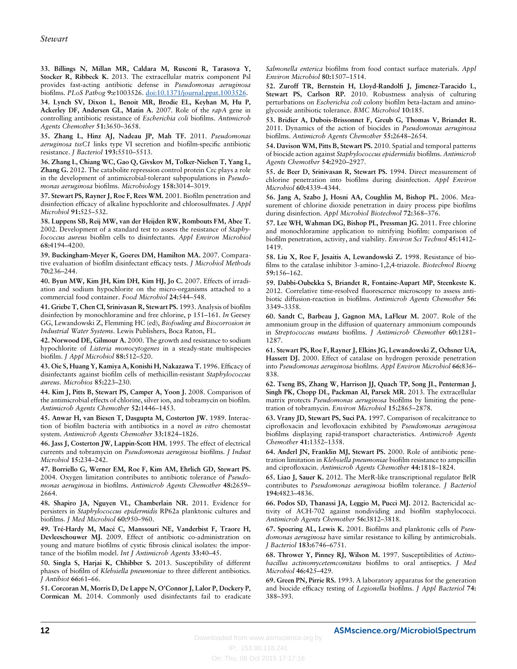<span id="page-11-0"></span>33. Billings N, Millan MR, Caldara M, Rusconi R, Tarasova Y, Stocker R, Ribbeck K. 2013. The extracellular matrix component Psl provides fast-acting antibiotic defense in Pseudomonas aeruginosa biofilms. PLoS Pathog 9:e1003526. [doi:10.1371/journal.ppat.1003526.](http://dx.doi.org/10.1371/journal.ppat.1003526)

34. Lynch SV, Dixon L, Benoit MR, Brodie EL, Keyhan M, Hu P, Ackerley DF, Andersen GL, Matin A. 2007. Role of the rapA gene in controlling antibiotic resistance of Escherichia coli biofilms. Antimicrob Agents Chemother 51:3650–3658.

35. Zhang L, Hinz AJ, Nadeau JP, Mah TF. 2011. Pseudomonas aeruginosa tssC1 links type VI secretion and biofilm-specific antibiotic resistance. J Bacteriol 193:5510–5513.

36. Zhang L, Chiang WC, Gao Q, Givskov M, Tolker-Nielsen T, Yang L, Zhang G. 2012. The catabolite repression control protein Crc plays a role in the development of antimicrobial-tolerant subpopulations in Pseudomonas aeruginosa biofilms. Microbiology 158:3014–3019.

37. Stewart PS, Rayner J, Roe F, Rees WM. 2001. Biofilm penetration and disinfection efficacy of alkaline hypochlorite and chlorosulfmates. J Appl Microbiol 91:525–532.

38. Luppens SB, Reij MW, van der Heijden RW, Rombouts FM, Abee T. 2002. Development of a standard test to assess the resistance of Staphylococcus aureus biofilm cells to disinfectants. Appl Environ Microbiol 68:4194–4200.

39. Buckingham-Meyer K, Goeres DM, Hamilton MA. 2007. Comparative evaluation of biofilm disinfectant efficacy tests. J Microbiol Methods 70:236–244.

40. Byun MW, Kim JH, Kim DH, Kim HJ, Jo C. 2007. Effects of irradiation and sodium hypochlorite on the micro-organisms attached to a commercial food container. Food Microbiol 24:544–548.

41. Griebe T, Chen CI, Srinivasan R, Stewart PS. 1993. Analysis of biofilm disinfection by monochloramine and free chlorine, p 151–161. In Geesey GG, Lewandowski Z, Flemming HC (ed), Biofouling and Biocorrosion in Industrial Water Systems. Lewis Publishers, Boca Raton, FL.

42. Norwood DE, Gilmour A. 2000. The growth and resistance to sodium hypochlorite of Listeria monocytogenes in a steady-state multispecies biofilm. J Appl Microbiol 88:512–520.

43. Oie S, Huang Y, Kamiya A, Konishi H, Nakazawa T. 1996. Efficacy of disinfectants against biofilm cells of methicillin-resistant Staphylococcus aureus. Microbios 85:223–230.

44. Kim J, Pitts B, Stewart PS, Camper A, Yoon J. 2008. Comparison of the antimicrobial effects of chlorine, silver ion, and tobramycin on biofilm. Antimicrob Agents Chemother 52:1446–1453.

45. Anwar H, van Biesen T, Dasgupta M, Costerton JW. 1989. Interaction of biofilm bacteria with antibiotics in a novel in vitro chemostat system. Antimicrob Agents Chemother 33:1824–1826.

46. Jass J, Costerton JW, Lappin-Scott HM. 1995. The effect of electrical currents and tobramycin on Pseudomonas aeruginosa biofilms. J Indust Microbiol 15:234–242.

47. Borriello G, Werner EM, Roe F, Kim AM, Ehrlich GD, Stewart PS. 2004. Oxygen limitation contributes to antibiotic tolerance of Pseudomonas aeruginosa in biofilms. Antimicrob Agents Chemother 48:2659– 2664.

48. Shapiro JA, Nguyen VL, Chamberlain NR. 2011. Evidence for persisters in Staphylococcus epidermidis RP62a planktonic cultures and biofilms. J Med Microbiol 60:950–960.

49. Tré-Hardy M, Macé C, Manssouri NE, Vanderbist F, Traore H, Devleeschouwer MJ. 2009. Effect of antibiotic co-administration on young and mature biofilms of cystic fibrosis clinical isolates: the importance of the biofilm model. Int J Antimicrob Agents 33:40-45.

50. Singla S, Harjai K, Chhibber S. 2013. Susceptibility of different phases of biofilm of Klebsiella pneumoniae to three different antibiotics. J Antibiot 66:61–66.

51. Corcoran M, Morris D, De Lappe N, O'Connor J, Lalor P, Dockery P, Cormican M. 2014. Commonly used disinfectants fail to eradicate Salmonella enterica biofilms from food contact surface materials. Appl Environ Microbiol 80:1507–1514.

52. Zuroff TR, Bernstein H, Lloyd-Randolfi J, Jimenez-Taracido L, Stewart PS, Carlson RP. 2010. Robustness analysis of culturing perturbations on Escherichia coli colony biofilm beta-lactam and aminoglycoside antibiotic tolerance. BMC Microbiol 10:185.

53. Bridier A, Dubois-Brissonnet F, Greub G, Thomas V, Briandet R. 2011. Dynamics of the action of biocides in Pseudomonas aeruginosa biofilms. Antimicrob Agents Chemother 55:2648–2654.

54. Davison WM, Pitts B, Stewart PS. 2010. Spatial and temporal patterns of biocide action against Staphylococcus epidermidis biofilms. Antimicrob Agents Chemother 54:2920–2927.

55. de Beer D, Srinivasan R, Stewart PS. 1994. Direct measurement of chlorine penetration into biofilms during disinfection. Appl Environ Microbiol 60:4339–4344.

56. Jang A, Szabo J, Hosni AA, Coughlin M, Bishop PL. 2006. Measurement of chlorine dioxide penetration in dairy process pipe biofilms during disinfection. Appl Microbiol Biotechnol 72:368–376.

57. Lee WH, Wahman DG, Bishop PL, Pressman JG. 2011. Free chlorine and monochloramine application to nitrifying biofilm: comparison of biofilm penetration, activity, and viability. Environ Sci Technol 45:1412– 1419.

58. Liu X, Roe F, Jesaitis A, Lewandowski Z. 1998. Resistance of biofilms to the catalase inhibitor 3-amino-1,2,4-triazole. Biotechnol Bioeng 59:156–162.

59. Dabbi-Oubekka S, Briandet R, Fontaine-Aupart MP, Steenkeste K. 2012. Correlative time-resolved fluorescence microscopy to assess antibiotic diffusion-reaction in biofilms. Antimicrob Agents Chemother 56: 3349–3358.

60. Sandt C, Barbeau J, Gagnon MA, LaFleur M. 2007. Role of the ammonium group in the diffusion of quaternary ammonium compounds in Streptococcus mutans biofilms. J Antimicrob Chemother 60:1281– 1287.

61. Stewart PS, Roe F, Rayner J, Elkins JG, Lewandowski Z, Ochsner UA, Hassett DJ. 2000. Effect of catalase on hydrogen peroxide penetration into Pseudomonas aeruginosa biofilms. Appl Environ Microbiol 66:836– 838.

62. Tseng BS, Zhang W, Harrison JJ, Quach TP, Song JL, Penterman J, Singh PK, Chopp DL, Packman AI, Parsek MR. 2013. The extracellular matrix protects Pseudomonas aeruginosa biofilms by limiting the penetration of tobramycin. Environ Microbiol 15:2865–2878.

63. Vrany JD, Stewart PS, Suci PA. 1997. Comparison of recalcitrance to ciprofloxacin and levofloxacin exhibited by Pseudomonas aeruginosa biofilms displaying rapid-transport characteristics. Antimicrob Agents Chemother 41:1352–1358.

64. Anderl JN, Franklin MJ, Stewart PS. 2000. Role of antibiotic penetration limitation in Klebsiella pneumoniae biofilm resistance to ampicillin and ciprofloxacin. Antimicrob Agents Chemother 44:1818–1824.

65. Liao J, Sauer K. 2012. The MerR-like transcriptional regulator BrlR contributes to Pseudomonas aeruginosa biofilm tolerance. J Bacteriol 194:4823–4836.

66. Podos SD, Thanassi JA, Leggio M, Pucci MJ. 2012. Bactericidal activity of ACH-702 against nondividing and biofilm staphylococci. Antimicrob Agents Chemother 56:3812–3818.

67. Spoering AL, Lewis K. 2001. Biofilms and planktonic cells of Pseudomonas aeruginosa have similar resistance to killing by antimicrobials. J Bacteriol 183:6746–6751.

68. Thrower Y, Pinney RJ, Wilson M. 1997. Susceptibilities of Actinobacillus actinomycetemcomitans biofilms to oral antiseptics. J Med Microbiol 46:425–429.

69. Green PN, Pirrie RS. 1993. A laboratory apparatus for the generation and biocide efficacy testing of Legionella biofilms. J Appl Bacteriol 74: 388–393.

On: Thu, 08 Oct 2015 17:17:16